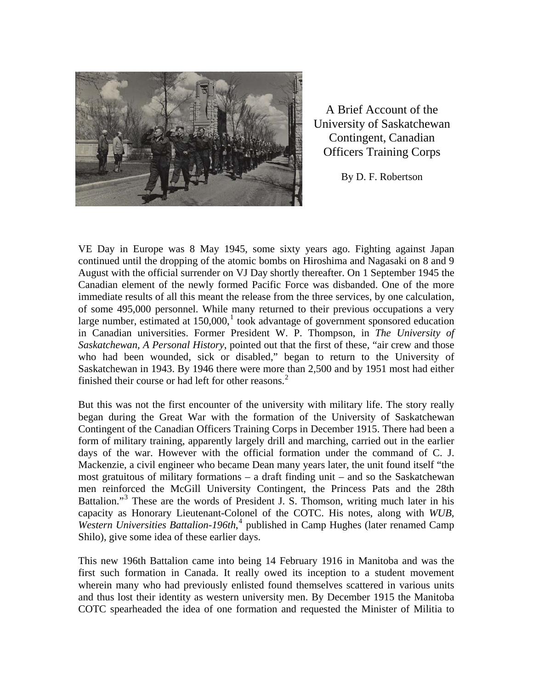

A Brief Account of the University of Saskatchewan Contingent, Canadian Officers Training Corps

By D. F. Robertson

VE Day in Europe was 8 May 1945, some sixty years ago. Fighting against Japan continued until the dropping of the atomic bombs on Hiroshima and Nagasaki on 8 and 9 August with the official surrender on VJ Day shortly thereafter. On 1 September 1945 the Canadian element of the newly formed Pacific Force was disbanded. One of the more immediate results of all this meant the release from the three services, by one calculation, of some 495,000 personnel. While many returned to their previous occupations a very large number, estimated at  $150,000$  $150,000$ ,<sup>1</sup> took advantage of government sponsored education in Canadian universities. Former President W. P. Thompson, in *The University of Saskatchewan, A Personal History*, pointed out that the first of these, "air crew and those who had been wounded, sick or disabled," began to return to the University of Saskatchewan in 1943. By 1946 there were more than 2,500 and by 1951 most had either finished their course or had left for other reasons.<sup>[2](#page-15-1)</sup>

But this was not the first encounter of the university with military life. The story really began during the Great War with the formation of the University of Saskatchewan Contingent of the Canadian Officers Training Corps in December 1915. There had been a form of military training, apparently largely drill and marching, carried out in the earlier days of the war. However with the official formation under the command of C. J. Mackenzie, a civil engineer who became Dean many years later, the unit found itself "the most gratuitous of military formations – a draft finding unit – and so the Saskatchewan men reinforced the McGill University Contingent, the Princess Pats and the 28th Battalion."<sup>[3](#page-15-1)</sup> These are the words of President J. S. Thomson, writing much later in his capacity as Honorary Lieutenant-Colonel of the COTC. His notes, along with *WUB, Western Universities Battalion-196th*, [4](#page-15-1) published in Camp Hughes (later renamed Camp Shilo), give some idea of these earlier days.

This new 196th Battalion came into being 14 February 1916 in Manitoba and was the first such formation in Canada. It really owed its inception to a student movement wherein many who had previously enlisted found themselves scattered in various units and thus lost their identity as western university men. By December 1915 the Manitoba COTC spearheaded the idea of one formation and requested the Minister of Militia to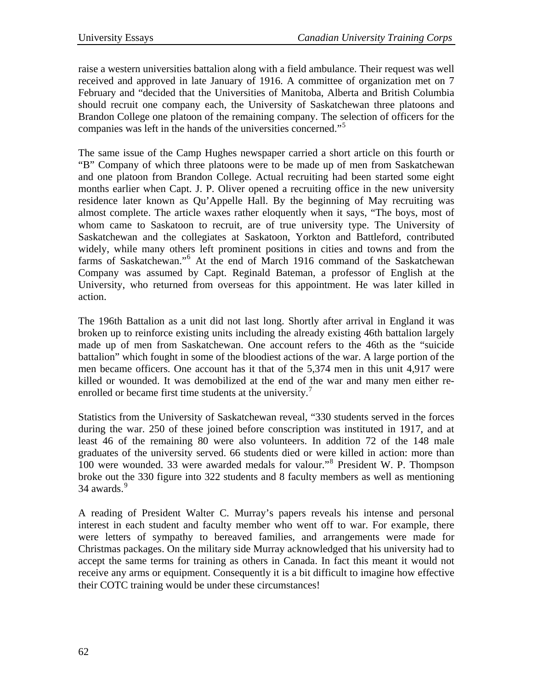raise a western universities battalion along with a field ambulance. Their request was well received and approved in late January of 1916. A committee of organization met on 7 February and "decided that the Universities of Manitoba, Alberta and British Columbia should recruit one company each, the University of Saskatchewan three platoons and Brandon College one platoon of the remaining company. The selection of officers for the companies was left in the hands of the universities concerned."[5](#page-15-1)

The same issue of the Camp Hughes newspaper carried a short article on this fourth or "B" Company of which three platoons were to be made up of men from Saskatchewan and one platoon from Brandon College. Actual recruiting had been started some eight months earlier when Capt. J. P. Oliver opened a recruiting office in the new university residence later known as Qu'Appelle Hall. By the beginning of May recruiting was almost complete. The article waxes rather eloquently when it says, "The boys, most of whom came to Saskatoon to recruit, are of true university type. The University of Saskatchewan and the collegiates at Saskatoon, Yorkton and Battleford, contributed widely, while many others left prominent positions in cities and towns and from the farms of Saskatchewan."<sup>[6](#page-15-1)</sup> At the end of March 1916 command of the Saskatchewan Company was assumed by Capt. Reginald Bateman, a professor of English at the University, who returned from overseas for this appointment. He was later killed in action.

The 196th Battalion as a unit did not last long. Shortly after arrival in England it was broken up to reinforce existing units including the already existing 46th battalion largely made up of men from Saskatchewan. One account refers to the 46th as the "suicide battalion" which fought in some of the bloodiest actions of the war. A large portion of the men became officers. One account has it that of the 5,374 men in this unit 4,917 were killed or wounded. It was demobilized at the end of the war and many men either re-enrolled or became first time students at the university.<sup>[7](#page-15-1)</sup>

Statistics from the University of Saskatchewan reveal, "330 students served in the forces during the war. 250 of these joined before conscription was instituted in 1917, and at least 46 of the remaining 80 were also volunteers. In addition 72 of the 148 male graduates of the university served. 66 students died or were killed in action: more than 100 were wounded. 33 were awarded medals for valour."[8](#page-15-1) President W. P. Thompson broke out the 330 figure into 322 students and 8 faculty members as well as mentioning 34 awards.<sup>[9](#page-15-1)</sup>

A reading of President Walter C. Murray's papers reveals his intense and personal interest in each student and faculty member who went off to war. For example, there were letters of sympathy to bereaved families, and arrangements were made for Christmas packages. On the military side Murray acknowledged that his university had to accept the same terms for training as others in Canada. In fact this meant it would not receive any arms or equipment. Consequently it is a bit difficult to imagine how effective their COTC training would be under these circumstances!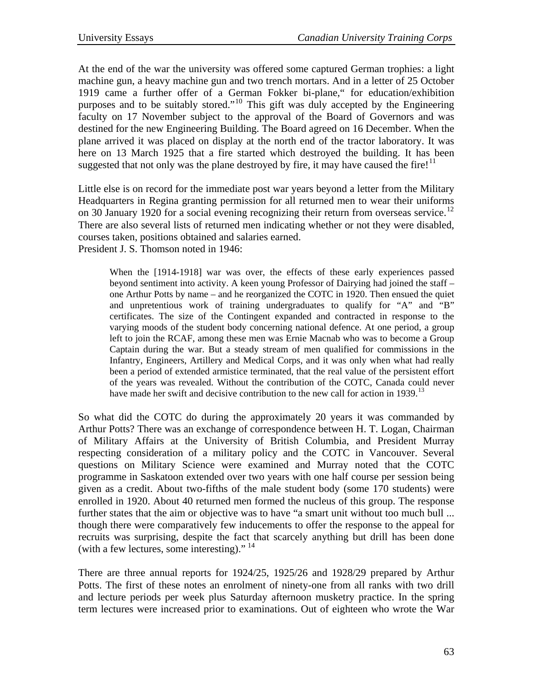At the end of the war the university was offered some captured German trophies: a light machine gun, a heavy machine gun and two trench mortars. And in a letter of 25 October 1919 came a further offer of a German Fokker bi-plane," for education/exhibition purposes and to be suitably stored."<sup>[10](#page-15-1)</sup> This gift was duly accepted by the Engineering faculty on 17 November subject to the approval of the Board of Governors and was destined for the new Engineering Building. The Board agreed on 16 December. When the plane arrived it was placed on display at the north end of the tractor laboratory. It was here on 13 March 1925 that a fire started which destroyed the building. It has been suggested that not only was the plane destroyed by fire, it may have caused the fire!<sup>[11](#page-15-1)</sup>

Little else is on record for the immediate post war years beyond a letter from the Military Headquarters in Regina granting permission for all returned men to wear their uniforms on 30 January 1920 for a social evening recognizing their return from overseas service.<sup>[12](#page-15-1)</sup> There are also several lists of returned men indicating whether or not they were disabled, courses taken, positions obtained and salaries earned. President J. S. Thomson noted in 1946:

When the [1914-1918] war was over, the effects of these early experiences passed beyond sentiment into activity. A keen young Professor of Dairying had joined the staff – one Arthur Potts by name – and he reorganized the COTC in 1920. Then ensued the quiet and unpretentious work of training undergraduates to qualify for "A" and "B" certificates. The size of the Contingent expanded and contracted in response to the varying moods of the student body concerning national defence. At one period, a group left to join the RCAF, among these men was Ernie Macnab who was to become a Group Captain during the war. But a steady stream of men qualified for commissions in the Infantry, Engineers, Artillery and Medical Corps, and it was only when what had really been a period of extended armistice terminated, that the real value of the persistent effort of the years was revealed. Without the contribution of the COTC, Canada could never have made her swift and decisive contribution to the new call for action in 1939.<sup>[13](#page-15-1)</sup>

So what did the COTC do during the approximately 20 years it was commanded by Arthur Potts? There was an exchange of correspondence between H. T. Logan, Chairman of Military Affairs at the University of British Columbia, and President Murray respecting consideration of a military policy and the COTC in Vancouver. Several questions on Military Science were examined and Murray noted that the COTC programme in Saskatoon extended over two years with one half course per session being given as a credit. About two-fifths of the male student body (some 170 students) were enrolled in 1920. About 40 returned men formed the nucleus of this group. The response further states that the aim or objective was to have "a smart unit without too much bull ... though there were comparatively few inducements to offer the response to the appeal for recruits was surprising, despite the fact that scarcely anything but drill has been done (with a few lectures, some interesting)."<sup>[14](#page-15-1)</sup>

There are three annual reports for 1924/25, 1925/26 and 1928/29 prepared by Arthur Potts. The first of these notes an enrolment of ninety-one from all ranks with two drill and lecture periods per week plus Saturday afternoon musketry practice. In the spring term lectures were increased prior to examinations. Out of eighteen who wrote the War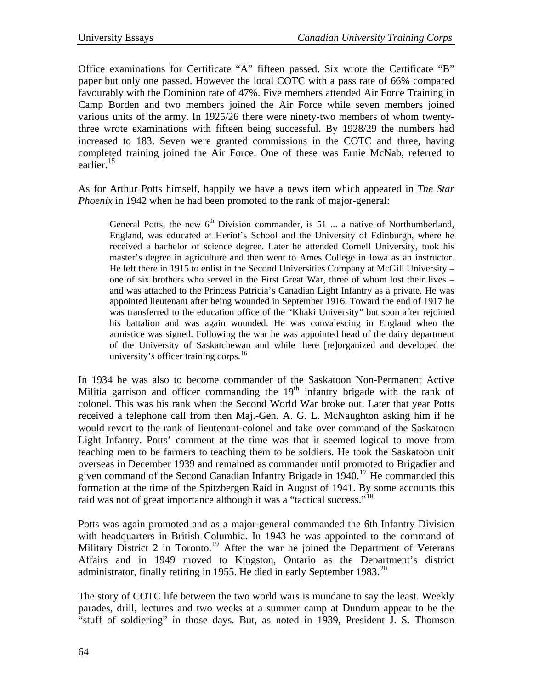Office examinations for Certificate "A" fifteen passed. Six wrote the Certificate "B" paper but only one passed. However the local COTC with a pass rate of 66% compared favourably with the Dominion rate of 47%. Five members attended Air Force Training in Camp Borden and two members joined the Air Force while seven members joined various units of the army. In 1925/26 there were ninety-two members of whom twentythree wrote examinations with fifteen being successful. By 1928/29 the numbers had increased to 183. Seven were granted commissions in the COTC and three, having completed training joined the Air Force. One of these was Ernie McNab, referred to earlier.<sup>[15](#page-15-1)</sup>

As for Arthur Potts himself, happily we have a news item which appeared in *The Star Phoenix* in 1942 when he had been promoted to the rank of major-general:

General Potts, the new  $6<sup>th</sup>$  Division commander, is 51 ... a native of Northumberland, England, was educated at Heriot's School and the University of Edinburgh, where he received a bachelor of science degree. Later he attended Cornell University, took his master's degree in agriculture and then went to Ames College in Iowa as an instructor. He left there in 1915 to enlist in the Second Universities Company at McGill University – one of six brothers who served in the First Great War, three of whom lost their lives – and was attached to the Princess Patricia's Canadian Light Infantry as a private. He was appointed lieutenant after being wounded in September 1916. Toward the end of 1917 he was transferred to the education office of the "Khaki University" but soon after rejoined his battalion and was again wounded. He was convalescing in England when the armistice was signed. Following the war he was appointed head of the dairy department of the University of Saskatchewan and while there [re]organized and developed the university's officer training corps. $16$ 

In 1934 he was also to become commander of the Saskatoon Non-Permanent Active Militia garrison and officer commanding the  $19<sup>th</sup>$  infantry brigade with the rank of colonel. This was his rank when the Second World War broke out. Later that year Potts received a telephone call from then Maj.-Gen. A. G. L. McNaughton asking him if he would revert to the rank of lieutenant-colonel and take over command of the Saskatoon Light Infantry. Potts' comment at the time was that it seemed logical to move from teaching men to be farmers to teaching them to be soldiers. He took the Saskatoon unit overseas in December 1939 and remained as commander until promoted to Brigadier and given command of the Second Canadian Infantry Brigade in  $1940$ .<sup>[17](#page-15-1)</sup> He commanded this formation at the time of the Spitzbergen Raid in August of 1941. By some accounts this raid was not of great importance although it was a "tactical success."<sup>[18](#page-15-1)</sup>

Potts was again promoted and as a major-general commanded the 6th Infantry Division with headquarters in British Columbia. In 1943 he was appointed to the command of Military District 2 in Toronto.<sup>[19](#page-15-1)</sup> After the war he joined the Department of Veterans Affairs and in 1949 moved to Kingston, Ontario as the Department's district administrator, finally retiring in 1955. He died in early September  $1983$ <sup>[20](#page-15-1)</sup>

The story of COTC life between the two world wars is mundane to say the least. Weekly parades, drill, lectures and two weeks at a summer camp at Dundurn appear to be the "stuff of soldiering" in those days. But, as noted in 1939, President J. S. Thomson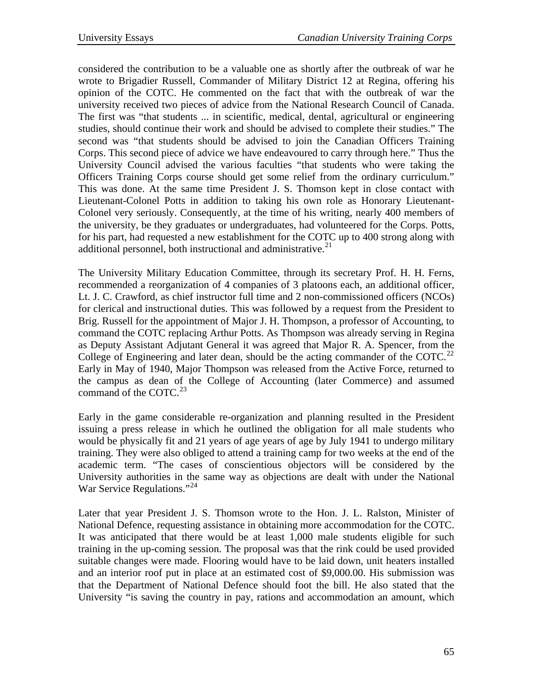considered the contribution to be a valuable one as shortly after the outbreak of war he wrote to Brigadier Russell, Commander of Military District 12 at Regina, offering his opinion of the COTC. He commented on the fact that with the outbreak of war the university received two pieces of advice from the National Research Council of Canada. The first was "that students ... in scientific, medical, dental, agricultural or engineering studies, should continue their work and should be advised to complete their studies." The second was "that students should be advised to join the Canadian Officers Training Corps. This second piece of advice we have endeavoured to carry through here." Thus the University Council advised the various faculties "that students who were taking the Officers Training Corps course should get some relief from the ordinary curriculum." This was done. At the same time President J. S. Thomson kept in close contact with Lieutenant-Colonel Potts in addition to taking his own role as Honorary Lieutenant-Colonel very seriously. Consequently, at the time of his writing, nearly 400 members of the university, be they graduates or undergraduates, had volunteered for the Corps. Potts, for his part, had requested a new establishment for the COTC up to 400 strong along with additional personnel, both instructional and administrative.<sup>[21](#page-15-1)</sup>

The University Military Education Committee, through its secretary Prof. H. H. Ferns, recommended a reorganization of 4 companies of 3 platoons each, an additional officer, Lt. J. C. Crawford, as chief instructor full time and 2 non-commissioned officers (NCOs) for clerical and instructional duties. This was followed by a request from the President to Brig. Russell for the appointment of Major J. H. Thompson, a professor of Accounting, to command the COTC replacing Arthur Potts. As Thompson was already serving in Regina as Deputy Assistant Adjutant General it was agreed that Major R. A. Spencer, from the College of Engineering and later dean, should be the acting commander of the COTC.<sup>[22](#page-15-1)</sup> Early in May of 1940, Major Thompson was released from the Active Force, returned to the campus as dean of the College of Accounting (later Commerce) and assumed command of the COTC.<sup>[23](#page-15-1)</sup>

Early in the game considerable re-organization and planning resulted in the President issuing a press release in which he outlined the obligation for all male students who would be physically fit and 21 years of age years of age by July 1941 to undergo military training. They were also obliged to attend a training camp for two weeks at the end of the academic term. "The cases of conscientious objectors will be considered by the University authorities in the same way as objections are dealt with under the National War Service Regulations."[24](#page-15-1)

Later that year President J. S. Thomson wrote to the Hon. J. L. Ralston, Minister of National Defence, requesting assistance in obtaining more accommodation for the COTC. It was anticipated that there would be at least 1,000 male students eligible for such training in the up-coming session. The proposal was that the rink could be used provided suitable changes were made. Flooring would have to be laid down, unit heaters installed and an interior roof put in place at an estimated cost of \$9,000.00. His submission was that the Department of National Defence should foot the bill. He also stated that the University "is saving the country in pay, rations and accommodation an amount, which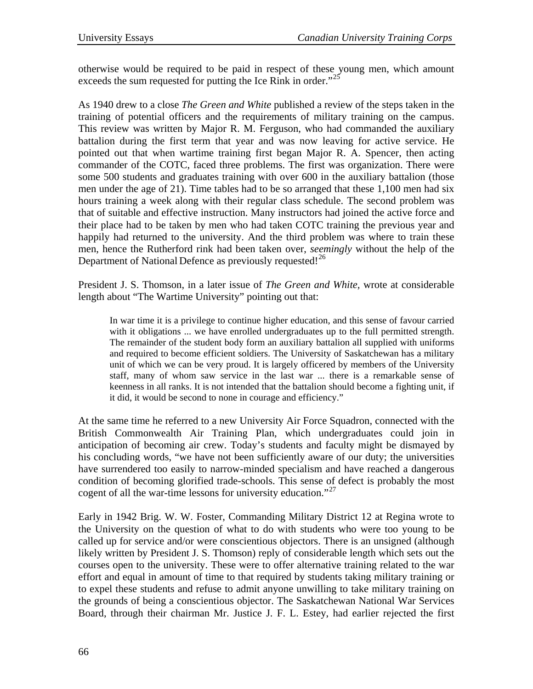otherwise would be required to be paid in respect of these young men, which amount exceeds the sum requested for putting the Ice Rink in order."<sup>[25](#page-15-1)</sup>

As 1940 drew to a close *The Green and White* published a review of the steps taken in the training of potential officers and the requirements of military training on the campus. This review was written by Major R. M. Ferguson, who had commanded the auxiliary battalion during the first term that year and was now leaving for active service. He pointed out that when wartime training first began Major R. A. Spencer, then acting commander of the COTC, faced three problems. The first was organization. There were some 500 students and graduates training with over 600 in the auxiliary battalion (those men under the age of 21). Time tables had to be so arranged that these 1,100 men had six hours training a week along with their regular class schedule. The second problem was that of suitable and effective instruction. Many instructors had joined the active force and their place had to be taken by men who had taken COTC training the previous year and happily had returned to the university. And the third problem was where to train these men, hence the Rutherford rink had been taken over, *seemingly* without the help of the Department of National Defence as previously requested!<sup>[26](#page-15-1)</sup>

President J. S. Thomson, in a later issue of *The Green and White,* wrote at considerable length about "The Wartime University" pointing out that:

In war time it is a privilege to continue higher education, and this sense of favour carried with it obligations ... we have enrolled undergraduates up to the full permitted strength. The remainder of the student body form an auxiliary battalion all supplied with uniforms and required to become efficient soldiers. The University of Saskatchewan has a military unit of which we can be very proud. It is largely officered by members of the University staff, many of whom saw service in the last war ... there is a remarkable sense of keenness in all ranks. It is not intended that the battalion should become a fighting unit, if it did, it would be second to none in courage and efficiency."

At the same time he referred to a new University Air Force Squadron, connected with the British Commonwealth Air Training Plan, which undergraduates could join in anticipation of becoming air crew. Today's students and faculty might be dismayed by his concluding words, "we have not been sufficiently aware of our duty; the universities have surrendered too easily to narrow-minded specialism and have reached a dangerous condition of becoming glorified trade-schools. This sense of defect is probably the most cogent of all the war-time lessons for university education."<sup>[27](#page-15-1)</sup>

Early in 1942 Brig. W. W. Foster, Commanding Military District 12 at Regina wrote to the University on the question of what to do with students who were too young to be called up for service and/or were conscientious objectors. There is an unsigned (although likely written by President J. S. Thomson) reply of considerable length which sets out the courses open to the university. These were to offer alternative training related to the war effort and equal in amount of time to that required by students taking military training or to expel these students and refuse to admit anyone unwilling to take military training on the grounds of being a conscientious objector. The Saskatchewan National War Services Board, through their chairman Mr. Justice J. F. L. Estey, had earlier rejected the first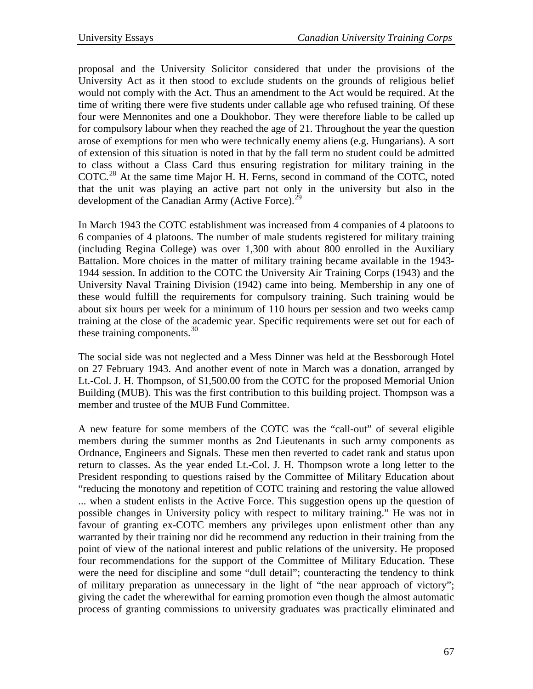proposal and the University Solicitor considered that under the provisions of the University Act as it then stood to exclude students on the grounds of religious belief would not comply with the Act. Thus an amendment to the Act would be required. At the time of writing there were five students under callable age who refused training. Of these four were Mennonites and one a Doukhobor. They were therefore liable to be called up for compulsory labour when they reached the age of 21. Throughout the year the question arose of exemptions for men who were technically enemy aliens (e.g. Hungarians). A sort of extension of this situation is noted in that by the fall term no student could be admitted to class without a Class Card thus ensuring registration for military training in the COTC.<sup>[28](#page-15-1)</sup> At the same time Major H. H. Ferns, second in command of the COTC, noted that the unit was playing an active part not only in the university but also in the development of the Canadian Army (Active Force).<sup>[29](#page-15-1)</sup>

In March 1943 the COTC establishment was increased from 4 companies of 4 platoons to 6 companies of 4 platoons. The number of male students registered for military training (including Regina College) was over 1,300 with about 800 enrolled in the Auxiliary Battalion. More choices in the matter of military training became available in the 1943- 1944 session. In addition to the COTC the University Air Training Corps (1943) and the University Naval Training Division (1942) came into being. Membership in any one of these would fulfill the requirements for compulsory training. Such training would be about six hours per week for a minimum of 110 hours per session and two weeks camp training at the close of the academic year. Specific requirements were set out for each of these training components. $30$ 

The social side was not neglected and a Mess Dinner was held at the Bessborough Hotel on 27 February 1943. And another event of note in March was a donation, arranged by Lt.-Col. J. H. Thompson, of \$1,500.00 from the COTC for the proposed Memorial Union Building (MUB). This was the first contribution to this building project. Thompson was a member and trustee of the MUB Fund Committee.

A new feature for some members of the COTC was the "call-out" of several eligible members during the summer months as 2nd Lieutenants in such army components as Ordnance, Engineers and Signals. These men then reverted to cadet rank and status upon return to classes. As the year ended Lt.-Col. J. H. Thompson wrote a long letter to the President responding to questions raised by the Committee of Military Education about "reducing the monotony and repetition of COTC training and restoring the value allowed ... when a student enlists in the Active Force. This suggestion opens up the question of possible changes in University policy with respect to military training." He was not in favour of granting ex-COTC members any privileges upon enlistment other than any warranted by their training nor did he recommend any reduction in their training from the point of view of the national interest and public relations of the university. He proposed four recommendations for the support of the Committee of Military Education. These were the need for discipline and some "dull detail"; counteracting the tendency to think of military preparation as unnecessary in the light of "the near approach of victory"; giving the cadet the wherewithal for earning promotion even though the almost automatic process of granting commissions to university graduates was practically eliminated and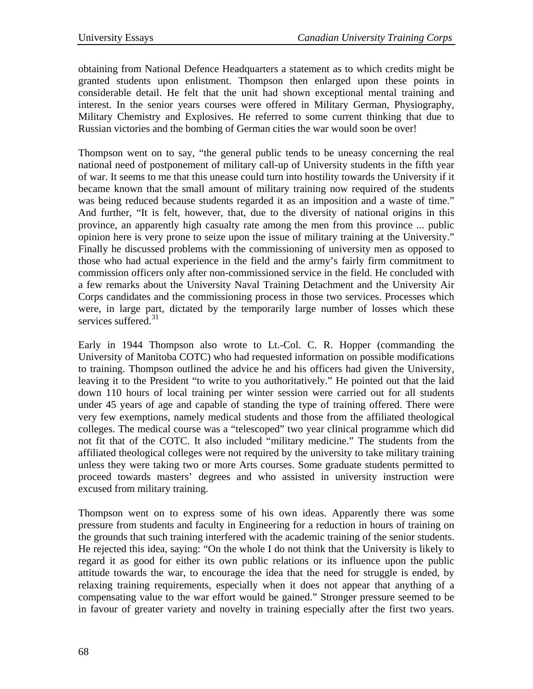obtaining from National Defence Headquarters a statement as to which credits might be granted students upon enlistment. Thompson then enlarged upon these points in considerable detail. He felt that the unit had shown exceptional mental training and interest. In the senior years courses were offered in Military German, Physiography, Military Chemistry and Explosives. He referred to some current thinking that due to Russian victories and the bombing of German cities the war would soon be over!

Thompson went on to say, "the general public tends to be uneasy concerning the real national need of postponement of military call-up of University students in the fifth year of war. It seems to me that this unease could turn into hostility towards the University if it became known that the small amount of military training now required of the students was being reduced because students regarded it as an imposition and a waste of time." And further, "It is felt, however, that, due to the diversity of national origins in this province, an apparently high casualty rate among the men from this province ... public opinion here is very prone to seize upon the issue of military training at the University." Finally he discussed problems with the commissioning of university men as opposed to those who had actual experience in the field and the army's fairly firm commitment to commission officers only after non-commissioned service in the field. He concluded with a few remarks about the University Naval Training Detachment and the University Air Corps candidates and the commissioning process in those two services. Processes which were, in large part, dictated by the temporarily large number of losses which these services suffered.<sup>[31](#page-15-1)</sup>

Early in 1944 Thompson also wrote to Lt.-Col. C. R. Hopper (commanding the University of Manitoba COTC) who had requested information on possible modifications to training. Thompson outlined the advice he and his officers had given the University, leaving it to the President "to write to you authoritatively." He pointed out that the laid down 110 hours of local training per winter session were carried out for all students under 45 years of age and capable of standing the type of training offered. There were very few exemptions, namely medical students and those from the affiliated theological colleges. The medical course was a "telescoped" two year clinical programme which did not fit that of the COTC. It also included "military medicine." The students from the affiliated theological colleges were not required by the university to take military training unless they were taking two or more Arts courses. Some graduate students permitted to proceed towards masters' degrees and who assisted in university instruction were excused from military training.

Thompson went on to express some of his own ideas. Apparently there was some pressure from students and faculty in Engineering for a reduction in hours of training on the grounds that such training interfered with the academic training of the senior students. He rejected this idea, saying: "On the whole I do not think that the University is likely to regard it as good for either its own public relations or its influence upon the public attitude towards the war, to encourage the idea that the need for struggle is ended, by relaxing training requirements, especially when it does not appear that anything of a compensating value to the war effort would be gained." Stronger pressure seemed to be in favour of greater variety and novelty in training especially after the first two years.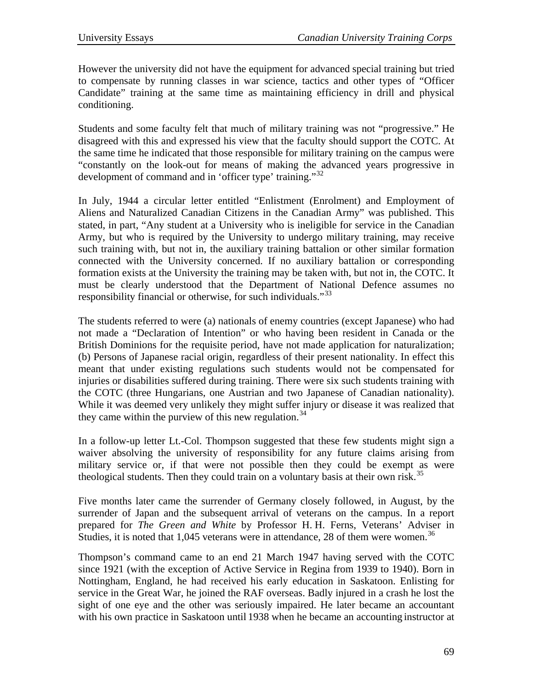However the university did not have the equipment for advanced special training but tried to compensate by running classes in war science, tactics and other types of "Officer Candidate" training at the same time as maintaining efficiency in drill and physical conditioning.

Students and some faculty felt that much of military training was not "progressive." He disagreed with this and expressed his view that the faculty should support the COTC. At the same time he indicated that those responsible for military training on the campus were "constantly on the look-out for means of making the advanced years progressive in development of command and in 'officer type' training."<sup>[32](#page-15-1)</sup>

In July, 1944 a circular letter entitled "Enlistment (Enrolment) and Employment of Aliens and Naturalized Canadian Citizens in the Canadian Army" was published. This stated, in part, "Any student at a University who is ineligible for service in the Canadian Army, but who is required by the University to undergo military training, may receive such training with, but not in, the auxiliary training battalion or other similar formation connected with the University concerned. If no auxiliary battalion or corresponding formation exists at the University the training may be taken with, but not in, the COTC. It must be clearly understood that the Department of National Defence assumes no responsibility financial or otherwise, for such individuals."<sup>[33](#page-15-1)</sup>

The students referred to were (a) nationals of enemy countries (except Japanese) who had not made a "Declaration of Intention" or who having been resident in Canada or the British Dominions for the requisite period, have not made application for naturalization; (b) Persons of Japanese racial origin, regardless of their present nationality. In effect this meant that under existing regulations such students would not be compensated for injuries or disabilities suffered during training. There were six such students training with the COTC (three Hungarians, one Austrian and two Japanese of Canadian nationality). While it was deemed very unlikely they might suffer injury or disease it was realized that they came within the purview of this new regulation.<sup>[34](#page-15-1)</sup>

In a follow-up letter Lt.-Col. Thompson suggested that these few students might sign a waiver absolving the university of responsibility for any future claims arising from military service or, if that were not possible then they could be exempt as were theological students. Then they could train on a voluntary basis at their own risk.<sup>[35](#page-15-1)</sup>

Five months later came the surrender of Germany closely followed, in August, by the surrender of Japan and the subsequent arrival of veterans on the campus. In a report prepared for *The Green and White* by Professor H. H. Ferns, Veterans' Adviser in Studies, it is noted that 1,045 veterans were in attendance, 28 of them were women.<sup>[36](#page-15-1)</sup>

Thompson's command came to an end 21 March 1947 having served with the COTC since 1921 (with the exception of Active Service in Regina from 1939 to 1940). Born in Nottingham, England, he had received his early education in Saskatoon. Enlisting for service in the Great War, he joined the RAF overseas. Badly injured in a crash he lost the sight of one eye and the other was seriously impaired. He later became an accountant with his own practice in Saskatoon until 1938 when he became an accounting instructor at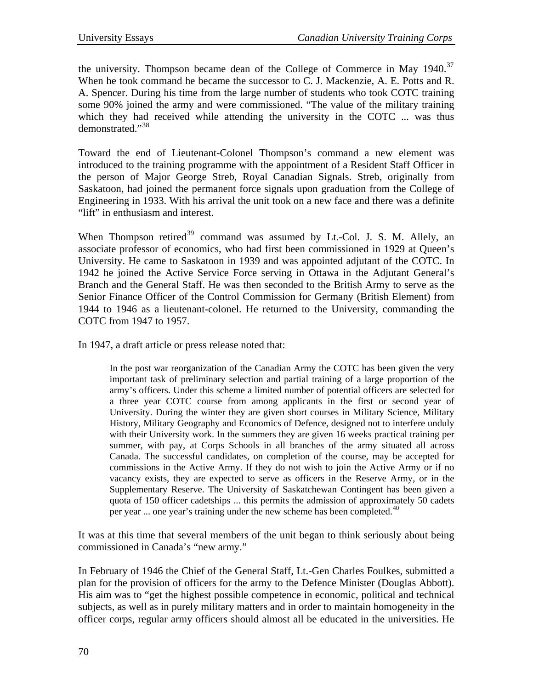the university. Thompson became dean of the College of Commerce in May  $1940$ .<sup>[37](#page-15-1)</sup> When he took command he became the successor to C. J. Mackenzie, A. E. Potts and R. A. Spencer. During his time from the large number of students who took COTC training some 90% joined the army and were commissioned. "The value of the military training which they had received while attending the university in the COTC ... was thus demonstrated."[38](#page-15-1)

Toward the end of Lieutenant-Colonel Thompson's command a new element was introduced to the training programme with the appointment of a Resident Staff Officer in the person of Major George Streb, Royal Canadian Signals. Streb, originally from Saskatoon, had joined the permanent force signals upon graduation from the College of Engineering in 1933. With his arrival the unit took on a new face and there was a definite "lift" in enthusiasm and interest.

When Thompson retired<sup>[39](#page-15-1)</sup> command was assumed by Lt.-Col. J. S. M. Allely, an associate professor of economics, who had first been commissioned in 1929 at Queen's University. He came to Saskatoon in 1939 and was appointed adjutant of the COTC. In 1942 he joined the Active Service Force serving in Ottawa in the Adjutant General's Branch and the General Staff. He was then seconded to the British Army to serve as the Senior Finance Officer of the Control Commission for Germany (British Element) from 1944 to 1946 as a lieutenant-colonel. He returned to the University, commanding the COTC from 1947 to 1957.

In 1947, a draft article or press release noted that:

In the post war reorganization of the Canadian Army the COTC has been given the very important task of preliminary selection and partial training of a large proportion of the army's officers. Under this scheme a limited number of potential officers are selected for a three year COTC course from among applicants in the first or second year of University. During the winter they are given short courses in Military Science, Military History, Military Geography and Economics of Defence, designed not to interfere unduly with their University work. In the summers they are given 16 weeks practical training per summer, with pay, at Corps Schools in all branches of the army situated all across Canada. The successful candidates, on completion of the course, may be accepted for commissions in the Active Army. If they do not wish to join the Active Army or if no vacancy exists, they are expected to serve as officers in the Reserve Army, or in the Supplementary Reserve. The University of Saskatchewan Contingent has been given a quota of 150 officer cadetships ... this permits the admission of approximately 50 cadets per year ... one year's training under the new scheme has been completed.<sup>[40](#page-15-1)</sup>

It was at this time that several members of the unit began to think seriously about being commissioned in Canada's "new army."

In February of 1946 the Chief of the General Staff, Lt.-Gen Charles Foulkes, submitted a plan for the provision of officers for the army to the Defence Minister (Douglas Abbott). His aim was to "get the highest possible competence in economic, political and technical subjects, as well as in purely military matters and in order to maintain homogeneity in the officer corps, regular army officers should almost all be educated in the universities. He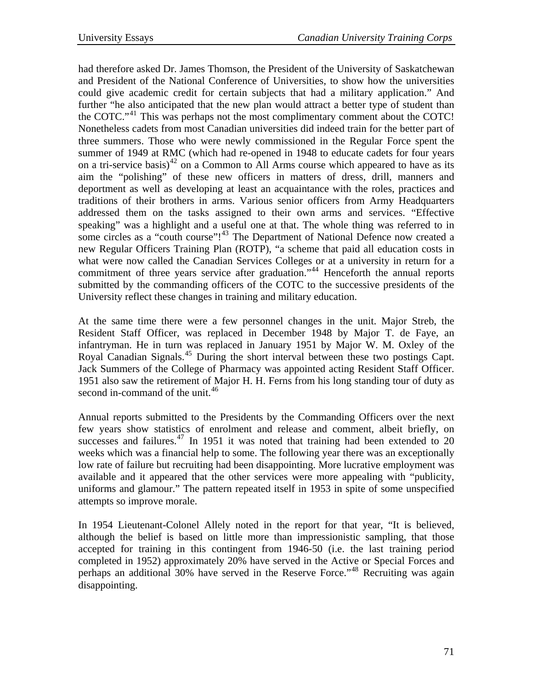had therefore asked Dr. James Thomson, the President of the University of Saskatchewan and President of the National Conference of Universities, to show how the universities could give academic credit for certain subjects that had a military application." And further "he also anticipated that the new plan would attract a better type of student than the COTC."<sup>[41](#page-15-1)</sup> This was perhaps not the most complimentary comment about the COTC! Nonetheless cadets from most Canadian universities did indeed train for the better part of three summers. Those who were newly commissioned in the Regular Force spent the summer of 1949 at RMC (which had re-opened in 1948 to educate cadets for four years on a tri-service basis)<sup>[42](#page-15-1)</sup> on a Common to All Arms course which appeared to have as its aim the "polishing" of these new officers in matters of dress, drill, manners and deportment as well as developing at least an acquaintance with the roles, practices and traditions of their brothers in arms. Various senior officers from Army Headquarters addressed them on the tasks assigned to their own arms and services. "Effective speaking" was a highlight and a useful one at that. The whole thing was referred to in some circles as a "couth course"!<sup>[43](#page-15-1)</sup> The Department of National Defence now created a new Regular Officers Training Plan (ROTP), "a scheme that paid all education costs in what were now called the Canadian Services Colleges or at a university in return for a commitment of three years service after graduation.<sup>"[44](#page-15-1)</sup> Henceforth the annual reports submitted by the commanding officers of the COTC to the successive presidents of the University reflect these changes in training and military education.

At the same time there were a few personnel changes in the unit. Major Streb, the Resident Staff Officer, was replaced in December 1948 by Major T. de Faye, an infantryman. He in turn was replaced in January 1951 by Major W. M. Oxley of the Royal Canadian Signals.[45](#page-15-1) During the short interval between these two postings Capt. Jack Summers of the College of Pharmacy was appointed acting Resident Staff Officer. 1951 also saw the retirement of Major H. H. Ferns from his long standing tour of duty as second in-command of the unit.<sup>[46](#page-15-1)</sup>

Annual reports submitted to the Presidents by the Commanding Officers over the next few years show statistics of enrolment and release and comment, albeit briefly, on successes and failures.<sup>[47](#page-15-1)</sup> In 1951 it was noted that training had been extended to 20 weeks which was a financial help to some. The following year there was an exceptionally low rate of failure but recruiting had been disappointing. More lucrative employment was available and it appeared that the other services were more appealing with "publicity, uniforms and glamour." The pattern repeated itself in 1953 in spite of some unspecified attempts so improve morale.

In 1954 Lieutenant-Colonel Allely noted in the report for that year, "It is believed, although the belief is based on little more than impressionistic sampling, that those accepted for training in this contingent from 1946-50 (i.e. the last training period completed in 1952) approximately 20% have served in the Active or Special Forces and perhaps an additional 30% have served in the Reserve Force."<sup>[48](#page-15-1)</sup> Recruiting was again disappointing.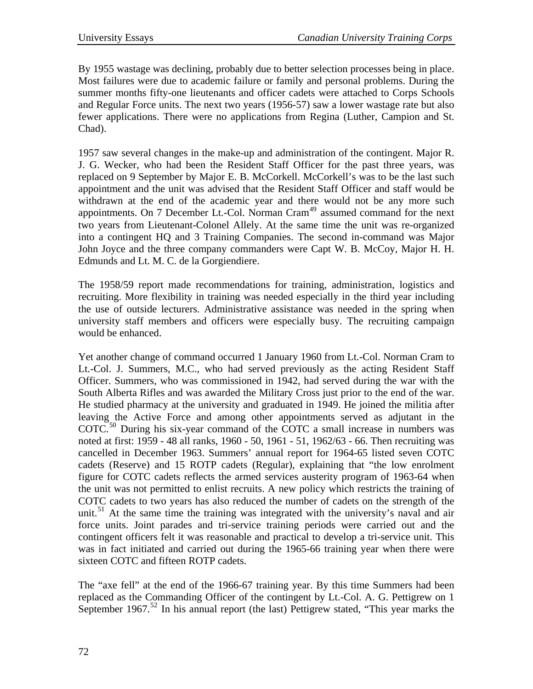By 1955 wastage was declining, probably due to better selection processes being in place. Most failures were due to academic failure or family and personal problems. During the summer months fifty-one lieutenants and officer cadets were attached to Corps Schools and Regular Force units. The next two years (1956-57) saw a lower wastage rate but also fewer applications. There were no applications from Regina (Luther, Campion and St. Chad).

1957 saw several changes in the make-up and administration of the contingent. Major R. J. G. Wecker, who had been the Resident Staff Officer for the past three years, was replaced on 9 September by Major E. B. McCorkell. McCorkell's was to be the last such appointment and the unit was advised that the Resident Staff Officer and staff would be withdrawn at the end of the academic year and there would not be any more such appointments. On 7 December Lt.-Col. Norman Cram<sup>[49](#page-15-1)</sup> assumed command for the next two years from Lieutenant-Colonel Allely. At the same time the unit was re-organized into a contingent HQ and 3 Training Companies. The second in-command was Major John Joyce and the three company commanders were Capt W. B. McCoy, Major H. H. Edmunds and Lt. M. C. de la Gorgiendiere.

The 1958/59 report made recommendations for training, administration, logistics and recruiting. More flexibility in training was needed especially in the third year including the use of outside lecturers. Administrative assistance was needed in the spring when university staff members and officers were especially busy. The recruiting campaign would be enhanced.

Yet another change of command occurred 1 January 1960 from Lt.-Col. Norman Cram to Lt.-Col. J. Summers, M.C., who had served previously as the acting Resident Staff Officer. Summers, who was commissioned in 1942, had served during the war with the South Alberta Rifles and was awarded the Military Cross just prior to the end of the war. He studied pharmacy at the university and graduated in 1949. He joined the militia after leaving the Active Force and among other appointments served as adjutant in the COTC.<sup>[50](#page-15-1)</sup> During his six-year command of the COTC a small increase in numbers was noted at first: 1959 - 48 all ranks, 1960 - 50, 1961 - 51, 1962/63 - 66. Then recruiting was cancelled in December 1963. Summers' annual report for 1964-65 listed seven COTC cadets (Reserve) and 15 ROTP cadets (Regular), explaining that "the low enrolment figure for COTC cadets reflects the armed services austerity program of 1963-64 when the unit was not permitted to enlist recruits. A new policy which restricts the training of COTC cadets to two years has also reduced the number of cadets on the strength of the unit.<sup>[51](#page-15-1)</sup> At the same time the training was integrated with the university's naval and air force units. Joint parades and tri-service training periods were carried out and the contingent officers felt it was reasonable and practical to develop a tri-service unit. This was in fact initiated and carried out during the 1965-66 training year when there were sixteen COTC and fifteen ROTP cadets.

The "axe fell" at the end of the 1966-67 training year. By this time Summers had been replaced as the Commanding Officer of the contingent by Lt.-Col. A. G. Pettigrew on 1 September 1967.<sup>[52](#page-15-1)</sup> In his annual report (the last) Pettigrew stated, "This year marks the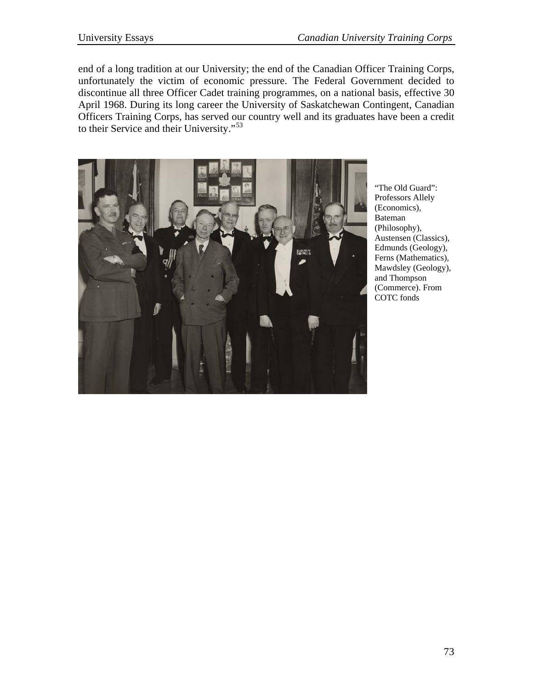end of a long tradition at our University; the end of the Canadian Officer Training Corps, unfortunately the victim of economic pressure. The Federal Government decided to discontinue all three Officer Cadet training programmes, on a national basis, effective 30 April 1968. During its long career the University of Saskatchewan Contingent, Canadian Officers Training Corps, has served our country well and its graduates have been a credit to their Service and their University."[53](#page-15-1)



"The Old Guard": Professors Allely (Economics), Bateman (Philosophy), Austensen (Classics), Edmunds (Geology), Ferns (Mathematics), Mawdsley (Geology), and Thompson (Commerce). From COTC fonds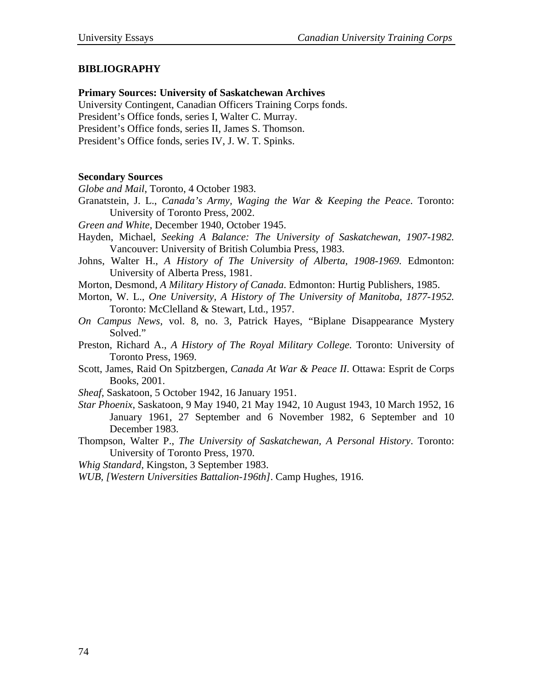## **BIBLIOGRAPHY**

## **Primary Sources: University of Saskatchewan Archives**

University Contingent, Canadian Officers Training Corps fonds.

President's Office fonds, series I, Walter C. Murray.

President's Office fonds, series II, James S. Thomson.

President's Office fonds, series IV, J. W. T. Spinks.

## **Secondary Sources**

*Globe and Mail*, Toronto, 4 October 1983.

Granatstein, J. L., *Canada's Army, Waging the War & Keeping the Peace*. Toronto: University of Toronto Press, 2002.

*Green and White*, December 1940, October 1945.

- Hayden, Michael, *Seeking A Balance: The University of Saskatchewan, 1907-1982.* Vancouver: University of British Columbia Press, 1983.
- Johns, Walter H., *A History of The University of Alberta, 1908-1969.* Edmonton: University of Alberta Press, 1981.

Morton, Desmond, *A Military History of Canada*. Edmonton: Hurtig Publishers, 1985.

- Morton, W. L., *One University, A History of The University of Manitoba, 1877-1952.*  Toronto: McClelland & Stewart, Ltd., 1957.
- *On Campus News*, vol. 8, no. 3, Patrick Hayes, "Biplane Disappearance Mystery Solved."
- Preston, Richard A., *A History of The Royal Military College.* Toronto: University of Toronto Press, 1969.
- Scott, James, Raid On Spitzbergen, *Canada At War & Peace II*. Ottawa: Esprit de Corps Books, 2001.
- *Sheaf*, Saskatoon, 5 October 1942, 16 January 1951.
- *Star Phoenix*, Saskatoon, 9 May 1940, 21 May 1942, 10 August 1943, 10 March 1952, 16 January 1961, 27 September and 6 November 1982, 6 September and 10 December 1983.

Thompson, Walter P., *The University of Saskatchewan, A Personal History*. Toronto: University of Toronto Press, 1970.

*Whig Standard*, Kingston, 3 September 1983.

*WUB, [Western Universities Battalion-196th]*. Camp Hughes, 1916.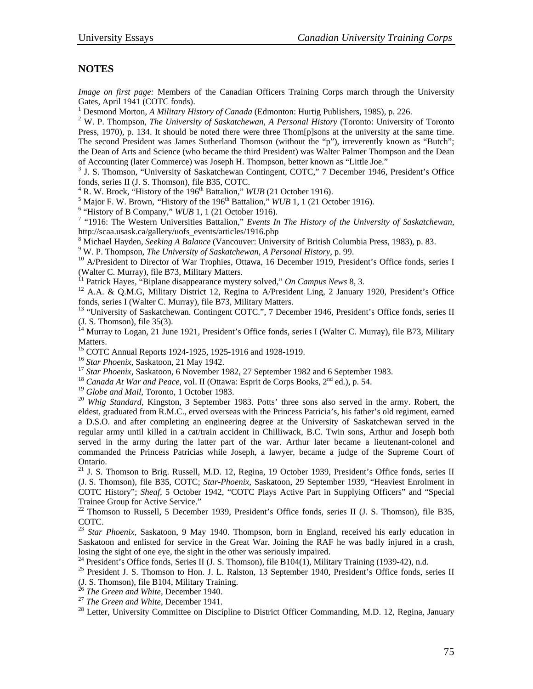## **NOTES**

*Image on first page:* Members of the Canadian Officers Training Corps march through the University Gates, April 1941 (COTC fonds).

<sup>1</sup> Desmond Morton, *A Military History of Canada* (Edmonton: Hurtig Publishers, 1985), p. 226.

<sup>2</sup> W. P. Thompson, *The University of Saskatchewan, A Personal History* (Toronto: University of Toronto Press, 1970), p. 134. It should be noted there were three Thom[p]sons at the university at the same time. The second President was James Sutherland Thomson (without the "p"), irreverently known as "Butch"; the Dean of Arts and Science (who became the third President) was Walter Palmer Thompson and the Dean of Accounting (later Commerce) was Joseph H. Thompson, better known as "Little Joe." 3

 $3$  J. S. Thomson, "University of Saskatchewan Contingent, COTC," 7 December 1946, President's Office fonds, series II (J. S. Thomson), file B35, COTC.

 $4$  R. W. Brock, "History of the 196<sup>th</sup> Battalion," *WUB* (21 October 1916).

<sup>5</sup> Major F. W. Brown, "History of the  $196<sup>th</sup>$  Battalion," *WUB* 1, 1 (21 October 1916).

"History of B Company,"  $WUB$  1, 1 (21 October 1916).

<sup>7</sup> "1916: The Western Universities Battalion," *Events In The History of the University of Saskatchewan*, http://scaa.usask.ca/gallery/uofs\_events/articles/1916.php 8

<sup>8</sup> Michael Hayden, *Seeking A Balance* (Vancouver: University of British Columbia Press, 1983), p. 83.<br><sup>9</sup> W. P. Thompson, *The University of Saskatchewan, A Personal History*, p. 99.

<sup>10</sup> A/President to Director of War Trophies, Ottawa, 16 December 1919, President's Office fonds, series I (Walter C. Murray), file B73, Military Matters.<br><sup>11</sup> Patrick Hayes, "Biplane disappearance mystery solved," On Campus News 8, 3.

<sup>12</sup> A.A. & Q.M.G, Military District 12, Regina to A/President Ling, 2 January 1920, President's Office fonds, series I (Walter C. Murray), file B73, Military Matters.

<sup>13</sup> "University of Saskatchewan. Contingent COTC.", 7 December 1946, President's Office fonds, series II (J. S. Thomson), file 35(3).

 $14$  Murray to Logan, 21 June 1921, President's Office fonds, series I (Walter C. Murray), file B73, Military Matters.

<sup>15</sup> COTC Annual Reports 1924-1925, 1925-1916 and 1928-1919.<br><sup>16</sup> Star Phoenix, Saskatoon, 21 May 1942.

<sup>17</sup> Star Phoenix, Saskatoon, 6 November 1982, 27 September 1982 and 6 September 1983.<br><sup>18</sup> Canada At War and Peace, vol. II (Ottawa: Esprit de Corps Books, 2<sup>nd</sup> ed.), p. 54.<br><sup>19</sup> Globe and Mail, Toronto, 1 October 1983.

<sup>20</sup> *Whig Standard*, Kingston, 3 September 1983. Potts' three sons also served in the army. Robert, the eldest, graduated from R.M.C., erved overseas with the Princess Patricia's, his father's old regiment, earned a D.S.O. and after completing an engineering degree at the University of Saskatchewan served in the regular army until killed in a cat/train accident in Chilliwack, B.C. Twin sons, Arthur and Joseph both served in the army during the latter part of the war. Arthur later became a lieutenant-colonel and commanded the Princess Patricias while Joseph, a lawyer, became a judge of the Supreme Court of Ontario.

<sup>21</sup> J. S. Thomson to Brig. Russell, M.D. 12, Regina, 19 October 1939, President's Office fonds, series II (J. S. Thomson), file B35, COTC; *Star-Phoenix*, Saskatoon, 29 September 1939, "Heaviest Enrolment in COTC History"; *Sheaf,* 5 October 1942, "COTC Plays Active Part in Supplying Officers" and "Special Trainee Group for Active Service."<br><sup>22</sup> Thomson to Russell, 5 December 1939, President's Office fonds, series II (J. S. Thomson), file B35,

COTC.

<sup>23</sup> *Star Phoenix,* Saskatoon, 9 May 1940. Thompson, born in England, received his early education in Saskatoon and enlisted for service in the Great War. Joining the RAF he was badly injured in a crash, losing the sight of one eye, the sight in the other was seriously impaired.<br><sup>24</sup> President's Office fonds, Series II (J. S. Thomson), file B104(1), Military Training (1939-42), n.d.

<sup>25</sup> President J. S. Thomson to Hon. J. L. Ralston, 13 September 1940, President's Office fonds, series II (J. S. Thomson), file B104, Military Training.<br><sup>26</sup> The Green and White, December 1940.

- 
- 

<sup>27</sup> *The Green and White*, December 1941.<br><sup>28</sup> Letter, University Committee on Discipline to District Officer Commanding, M.D. 12, Regina, January